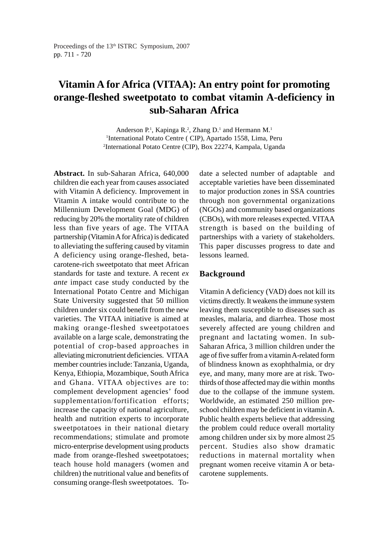# **Vitamin A for Africa (VITAA): An entry point for promoting orange-fleshed sweetpotato to combat vitamin A-deficiency in sub-Saharan Africa**

Anderson P.<sup>1</sup>, Kapinga R.<sup>2</sup>, Zhang D.<sup>1</sup> and Hermann M.<sup>1</sup> 1 International Potato Centre ( CIP), Apartado 1558, Lima, Peru 2 International Potato Centre (CIP), Box 22274, Kampala, Uganda

**Abstract.** In sub-Saharan Africa, 640,000 children die each year from causes associated with Vitamin A deficiency. Improvement in Vitamin A intake would contribute to the Millennium Development Goal (MDG) of reducing by 20% the mortality rate of children less than five years of age. The VITAA partnership (Vitamin A for Africa) is dedicated to alleviating the suffering caused by vitamin A deficiency using orange-fleshed, betacarotene-rich sweetpotato that meet African standards for taste and texture. A recent *ex ante* impact case study conducted by the International Potato Centre and Michigan State University suggested that 50 million children under six could benefit from the new varieties. The VITAA initiative is aimed at making orange-fleshed sweetpotatoes available on a large scale, demonstrating the potential of crop-based approaches in alleviating micronutrient deficiencies. VITAA member countries include: Tanzania, Uganda, Kenya, Ethiopia, Mozambique, South Africa and Ghana. VITAA objectives are to: complement development agencies' food supplementation/fortification efforts; increase the capacity of national agriculture, health and nutrition experts to incorporate sweetpotatoes in their national dietary recommendations; stimulate and promote micro-enterprise development using products made from orange-fleshed sweetpotatoes; teach house hold managers (women and children) the nutritional value and benefits of consuming orange-flesh sweetpotatoes. Todate a selected number of adaptable and acceptable varieties have been disseminated to major production zones in SSA countries through non governmental organizations (NGOs) and community based organizations (CBOs), with more releases expected. VITAA strength is based on the building of partnerships with a variety of stakeholders. This paper discusses progress to date and lessons learned.

### **Background**

Vitamin A deficiency (VAD) does not kill its victims directly. It weakens the immune system leaving them susceptible to diseases such as measles, malaria, and diarrhea. Those most severely affected are young children and pregnant and lactating women. In sub-Saharan Africa, 3 million children under the age of five suffer from a vitamin A-related form of blindness known as exophthalmia, or dry eye, and many, many more are at risk. Twothirds of those affected may die within months due to the collapse of the immune system. Worldwide, an estimated 250 million preschool children may be deficient in vitamin A. Public health experts believe that addressing the problem could reduce overall mortality among children under six by more almost 25 percent. Studies also show dramatic reductions in maternal mortality when pregnant women receive vitamin A or betacarotene supplements.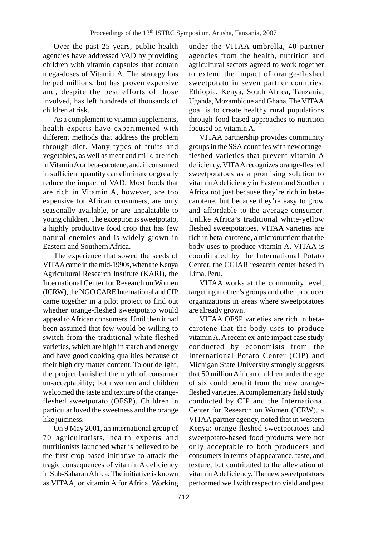Over the past 25 years, public health agencies have addressed VAD by providing children with vitamin capsules that contain mega-doses of Vitamin A. The strategy has helped millions, but has proven expensive and, despite the best efforts of those involved, has left hundreds of thousands of children at risk.

As a complement to vitamin supplements, health experts have experimented with different methods that address the problem through diet. Many types of fruits and vegetables, as well as meat and milk, are rich in Vitamin A or beta-carotene, and, if consumed in sufficient quantity can eliminate or greatly reduce the impact of VAD. Most foods that are rich in Vitamin A, however, are too expensive for African consumers, are only seasonally available, or are unpalatable to young children. The exception is sweetpotato, a highly productive food crop that has few natural enemies and is widely grown in Eastern and Southern Africa.

The experience that sowed the seeds of VITAA came in the mid-1990s, when the Kenya Agricultural Research Institute (KARI), the International Center for Research on Women (ICRW), the NGO CARE International and CIP came together in a pilot project to find out whether orange-fleshed sweetpotato would appeal to African consumers. Until then it had been assumed that few would be willing to switch from the traditional white-fleshed varieties, which are high in starch and energy and have good cooking qualities because of their high dry matter content. To our delight, the project banished the myth of consumer un-acceptability; both women and children welcomed the taste and texture of the orangefleshed sweetpotato (OFSP). Children in particular loved the sweetness and the orange like juiciness.

On 9 May 2001, an international group of 70 agriculturists, health experts and nutritionists launched what is believed to be the first crop-based initiative to attack the tragic consequences of vitamin A deficiency in Sub-Saharan Africa. The initiative is known as VITAA, or vitamin A for Africa. Working under the VITAA umbrella, 40 partner agencies from the health, nutrition and agricultural sectors agreed to work together to extend the impact of orange-fleshed sweetpotato in seven partner countries: Ethiopia, Kenya, South Africa, Tanzania, Uganda, Mozambique and Ghana. The VITAA goal is to create healthy rural populations through food-based approaches to nutrition focused on vitamin A.

VITAA partnership provides community groups in the SSA countries with new orangefleshed varieties that prevent vitamin A deficiency. VITAA recognizes orange-fleshed sweetpotatoes as a promising solution to vitamin A deficiency in Eastern and Southern Africa not just because they're rich in betacarotene, but because they're easy to grow and affordable to the average consumer. Unlike Africa's traditional white-yellow fleshed sweetpotatoes, VITAA varieties are rich in beta-carotene, a micronutrient that the body uses to produce vitamin A. VITAA is coordinated by the International Potato Center, the CGIAR research center based in Lima, Peru.

VITAA works at the community level, targeting mother's groups and other producer organizations in areas where sweetpotatoes are already grown.

VITAA OFSP varieties are rich in betacarotene that the body uses to produce vitamin A. A recent ex-ante impact case study conducted by economists from the International Potato Center (CIP) and Michigan State University strongly suggests that 50 million African children under the age of six could benefit from the new orangefleshed varieties. A complementary field study conducted by CIP and the International Center for Research on Women (ICRW), a VITAA partner agency, noted that in western Kenya: orange-fleshed sweetpotatoes and sweetpotato-based food products were not only acceptable to both producers and consumers in terms of appearance, taste, and texture, but contributed to the alleviation of vitamin A deficiency. The new sweetpotatoes performed well with respect to yield and pest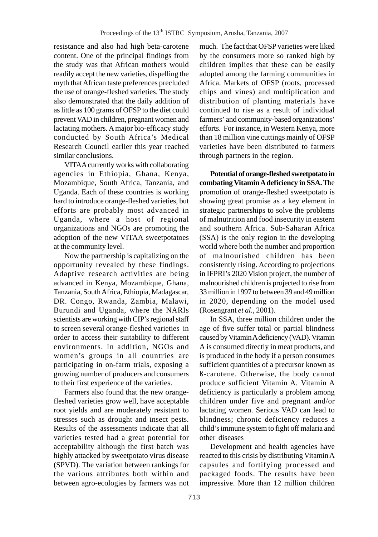resistance and also had high beta-carotene content. One of the principal findings from the study was that African mothers would readily accept the new varieties, dispelling the myth that African taste preferences precluded the use of orange-fleshed varieties. The study also demonstrated that the daily addition of as little as 100 grams of OFSP to the diet could prevent VAD in children, pregnant women and lactating mothers. A major bio-efficacy study conducted by South Africa's Medical Research Council earlier this year reached similar conclusions.

VITAA currently works with collaborating agencies in Ethiopia, Ghana, Kenya, Mozambique, South Africa, Tanzania, and Uganda. Each of these countries is working hard to introduce orange-fleshed varieties, but efforts are probably most advanced in Uganda, where a host of regional organizations and NGOs are promoting the adoption of the new VITAA sweetpotatoes at the community level.

Now the partnership is capitalizing on the opportunity revealed by these findings. Adaptive research activities are being advanced in Kenya, Mozambique, Ghana, Tanzania, South Africa, Ethiopia, Madagascar, DR. Congo, Rwanda, Zambia, Malawi, Burundi and Uganda, where the NARIs scientists are working with CIP's regional staff to screen several orange-fleshed varieties in order to access their suitability to different environments. In addition, NGOs and women's groups in all countries are participating in on-farm trials, exposing a growing number of producers and consumers to their first experience of the varieties.

Farmers also found that the new orangefleshed varieties grow well, have acceptable root yields and are moderately resistant to stresses such as drought and insect pests. Results of the assessments indicate that all varieties tested had a great potential for acceptability although the first batch was highly attacked by sweetpotato virus disease (SPVD). The variation between rankings for the various attributes both within and between agro-ecologies by farmers was not much. The fact that OFSP varieties were liked by the consumers more so ranked high by children implies that these can be easily adopted among the farming communities in Africa. Markets of OFSP (roots, processed chips and vines) and multiplication and distribution of planting materials have continued to rise as a result of individual farmers' and community-based organizations' efforts. For instance, in Western Kenya, more than 18 million vine cuttings mainly of OFSP varieties have been distributed to farmers through partners in the region.

**Potential of orange-fleshed sweetpotato in combating Vitamin A deficiency in SSA.** The promotion of orange-fleshed sweetpotato is showing great promise as a key element in strategic partnerships to solve the problems of malnutrition and food insecurity in eastern and southern Africa. Sub-Saharan Africa (SSA) is the only region in the developing world where both the number and proportion of malnourished children has been consistently rising. According to projections in IFPRI's 2020 Vision project, the number of malnourished children is projected to rise from 33 million in 1997 to between 39 and 49 million in 2020, depending on the model used (Rosengrant *et al.,* 2001).

In SSA, three million children under the age of five suffer total or partial blindness caused by Vitamin A deficiency (VAD). Vitamin A is consumed directly in meat products, and is produced in the body if a person consumes sufficient quantities of a precursor known as ß-carotene. Otherwise, the body cannot produce sufficient Vitamin A. Vitamin A deficiency is particularly a problem among children under five and pregnant and/or lactating women. Serious VAD can lead to blindness; chronic deficiency reduces a child's immune system to fight off malaria and other diseases

Development and health agencies have reacted to this crisis by distributing Vitamin A capsules and fortifying processed and packaged foods. The results have been impressive. More than 12 million children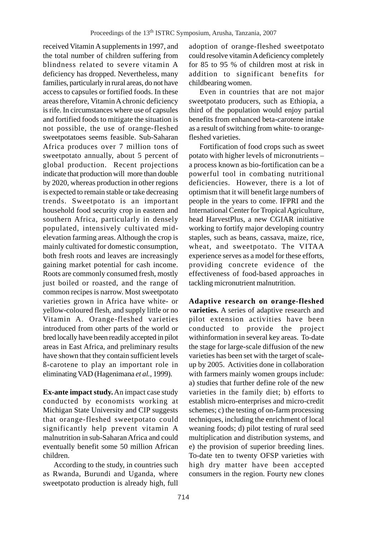received Vitamin A supplements in 1997, and the total number of children suffering from blindness related to severe vitamin A deficiency has dropped. Nevertheless, many families, particularly in rural areas, do not have access to capsules or fortified foods. In these areas therefore, Vitamin A chronic deficiency is rife. In circumstances where use of capsules and fortified foods to mitigate the situation is not possible, the use of orange-fleshed sweetpotatoes seems feasible. Sub-Saharan Africa produces over 7 million tons of sweetpotato annually, about 5 percent of global production. Recent projections indicate that production will more than double by 2020, whereas production in other regions is expected to remain stable or take decreasing trends. Sweetpotato is an important household food security crop in eastern and southern Africa, particularly in densely populated, intensively cultivated midelevation farming areas. Although the crop is mainly cultivated for domestic consumption, both fresh roots and leaves are increasingly gaining market potential for cash income. Roots are commonly consumed fresh, mostly just boiled or roasted, and the range of common recipes is narrow. Most sweetpotato varieties grown in Africa have white- or yellow-coloured flesh, and supply little or no Vitamin A. Orange-fleshed varieties introduced from other parts of the world or bred locally have been readily accepted in pilot areas in East Africa, and preliminary results have shown that they contain sufficient levels ß-carotene to play an important role in eliminating VAD (Hagenimana *et al.,* 1999).

**Ex-ante impact study.** An impact case study conducted by economists working at Michigan State University and CIP suggests that orange-fleshed sweetpotato could significantly help prevent vitamin A malnutrition in sub-Saharan Africa and could eventually benefit some 50 million African children.

According to the study, in countries such as Rwanda, Burundi and Uganda, where sweetpotato production is already high, full adoption of orange-fleshed sweetpotato could resolve vitamin A deficiency completely for 85 to 95 % of children most at risk in addition to significant benefits for childbearing women.

Even in countries that are not major sweetpotato producers, such as Ethiopia, a third of the population would enjoy partial benefits from enhanced beta-carotene intake as a result of switching from white- to orangefleshed varieties.

Fortification of food crops such as sweet potato with higher levels of micronutrients – a process known as bio-fortification can be a powerful tool in combating nutritional deficiencies. However, there is a lot of optimism that it will benefit large numbers of people in the years to come. IFPRI and the International Center for Tropical Agriculture, head HarvestPlus, a new CGIAR initiative working to fortify major developing country staples, such as beans, cassava, maize, rice, wheat, and sweetpotato. The VITAA experience serves as a model for these efforts, providing concrete evidence of the effectiveness of food-based approaches in tackling micronutrient malnutrition.

**Adaptive research on orange-fleshed varieties.** A series of adaptive research and pilot extension activities have been conducted to provide the project withinformation in several key areas. To-date the stage for large-scale diffusion of the new varieties has been set with the target of scaleup by 2005. Activities done in collaboration with farmers mainly women groups include: a) studies that further define role of the new varieties in the family diet; b) efforts to establish micro-enterprises and micro-credit schemes; c) the testing of on-farm processing techniques, including the enrichment of local weaning foods; d) pilot testing of rural seed multiplication and distribution systems, and e) the provision of superior breeding lines. To-date ten to twenty OFSP varieties with high dry matter have been accepted consumers in the region. Fourty new clones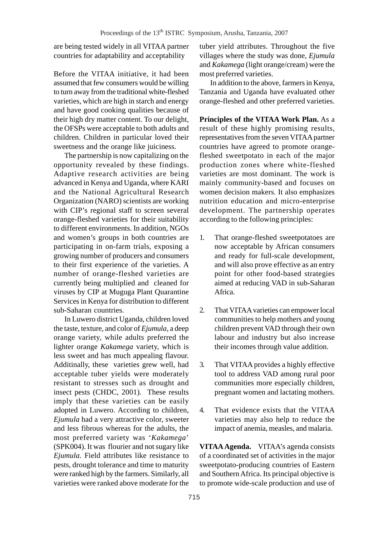are being tested widely in all VITAA partner countries for adaptability and acceptability

Before the VITAA initiative, it had been assumed that few consumers would be willing to turn away from the traditional white-fleshed varieties, which are high in starch and energy and have good cooking qualities because of their high dry matter content. To our delight, the OFSPs were acceptable to both adults and children. Children in particular loved their sweetness and the orange like juiciness.

The partnership is now capitalizing on the opportunity revealed by these findings. Adaptive research activities are being advanced in Kenya and Uganda, where KARI and the National Agricultural Research Organization (NARO) scientists are working with CIP's regional staff to screen several orange-fleshed varieties for their suitability to different environments. In addition, NGOs and women's groups in both countries are participating in on-farm trials, exposing a growing number of producers and consumers to their first experience of the varieties. A number of orange-fleshed varieties are currently being multiplied and cleaned for viruses by CIP at Muguga Plant Quarantine Services in Kenya for distribution to different sub-Saharan countries.

In Luwero district Uganda, children loved the taste, texture, and color of *Ejumula*, a deep orange variety, while adults preferred the lighter orange *Kakamega* variety, which is less sweet and has much appealing flavour. Additinally, these varieties grew well, had acceptable tuber yields were moderately resistant to stresses such as drought and insect pests (CHDC, 2001). These results imply that these varieties can be easily adopted in Luwero. According to children, *Ejumula* had a very attractive color, sweeter and less fibrous whereas for the adults, the most preferred variety was '*Kakamega*' (SPK004). It was flourier and not sugary like *Ejumula*. Field attributes like resistance to pests, drought tolerance and time to maturity were ranked high by the farmers. Similarly, all varieties were ranked above moderate for the

tuber yield attributes. Throughout the five villages where the study was done, *Ejumula* and *Kakamega* (light orange/cream) were the most preferred varieties.

In addition to the above, farmers in Kenya, Tanzania and Uganda have evaluated other orange-fleshed and other preferred varieties.

**Principles of the VITAA Work Plan.** As a result of these highly promising results, representatives from the seven VITAA partner countries have agreed to promote orangefleshed sweetpotato in each of the major production zones where white-fleshed varieties are most dominant. The work is mainly community-based and focuses on women decision makers. It also emphasizes nutrition education and micro-enterprise development. The partnership operates according to the following principles:

- 1. That orange-fleshed sweetpotatoes are now acceptable by African consumers and ready for full-scale development, and will also prove effective as an entry point for other food-based strategies aimed at reducing VAD in sub-Saharan Africa.
- 2. That VITAA varieties can empower local communities to help mothers and young children prevent VAD through their own labour and industry but also increase their incomes through value addition.
- 3. That VITAA provides a highly effective tool to address VAD among rural poor communities more especially children, pregnant women and lactating mothers.
- 4. That evidence exists that the VITAA varieties may also help to reduce the impact of anemia, measles, and malaria.

**VITAA Agenda.** VITAA's agenda consists of a coordinated set of activities in the major sweetpotato-producing countries of Eastern and Southern Africa. Its principal objective is to promote wide-scale production and use of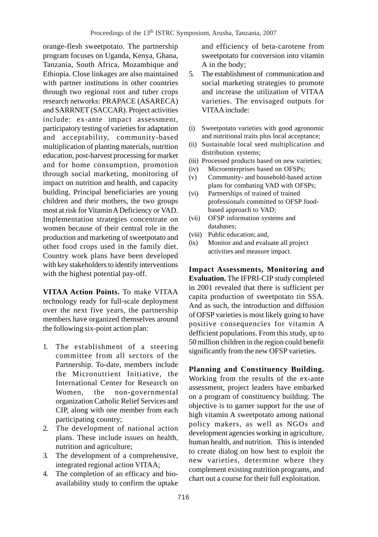orange-flesh sweetpotato. The partnership program focuses on Uganda, Kenya, Ghana, Tanzania, South Africa, Mozambique and Ethiopia. Close linkages are also maintained with partner institutions in other countries through two regional root and tuber crops research networks: PRAPACE (ASARECA) and SARRNET (SACCAR). Project activities include: ex-ante impact assessment, participatory testing of varieties for adaptation and acceptability, community-based multiplication of planting materials, nutrition education, post-harvest processing for market and for home consumption, promotion through social marketing, monitoring of impact on nutrition and health, and capacity building. Principal beneficiaries are young children and their mothers, the two groups most at risk for Vitamin A Deficiency or VAD. Implementation strategies concentrate on women because of their central role in the production and marketing of sweetpotato and other food crops used in the family diet. Country work plans have been developed with key stakeholders to identify interventions with the highest potential pay-off.

**VITAA Action Points.** To make VITAA technology ready for full-scale deployment over the next five years, the partnership members have organized themselves around the following six-point action plan:

- 1. The establishment of a steering committee from all sectors of the Partnership. To-date, members include the Micronutrient Initiative, the International Center for Research on Women, the non-governmental organization Catholic Relief Services and CIP, along with one member from each participating country;
- 2. The development of national action plans. These include issues on health, nutrition and agriculture;
- 3. The development of a comprehensive, integrated regional action VITAA;
- 4. The completion of an efficacy and bioavailability study to confirm the uptake

and efficiency of beta-carotene from sweetpotato for conversion into vitamin A in the body;

- 5. The establishment of communication and social marketing strategies to promote and increase the utilization of VITAA varieties. The envisaged outputs for VITAA include:
- (i) Sweetpotato varieties with good agronomic and nutritional traits plus local acceptance;
- (ii) Sustainable local seed multiplication and distribution systems;
- (iii) Processed products based on new varieties;
- (iv) Microenterprises based on OFSPs;
- (v) Community- and household-based action plans for combating VAD with OFSPs;
- (vi) Partnerships of trained of trained professionals committed to OFSP foodbased approach to VAD;
- (vii) OFSP information systems and databases;
- (viii) Public education; and,
- (ix) Monitor and and evaluate all project activities and measure impact.

**Impact Assessments, Monitoring and Evaluation.** The IFPRI-CIP study completed in 2001 revealed that there is sufficient per capita production of sweetpotato tin SSA. And as such, the introduction and diffusion of OFSP varieties is most likely going to have positive consequencies for vitamin A defficient populations. From this study, up to 50 million children in the region could benefit significantly from the new OFSP varieties.

**Planning and Constituency Building.** Working from the results of the ex-ante assessment, project leaders have embarked on a program of constituency building. The objective is to garner support for the use of high vitamin A sweetpotato among national policy makers, as well as NGOs and development agencies working in agriculture, human health, and nutrition. This is intended to create dialog on how best to exploit the new varieties, determine where they complement existing nutrition programs, and chart out a course for their full exploitation.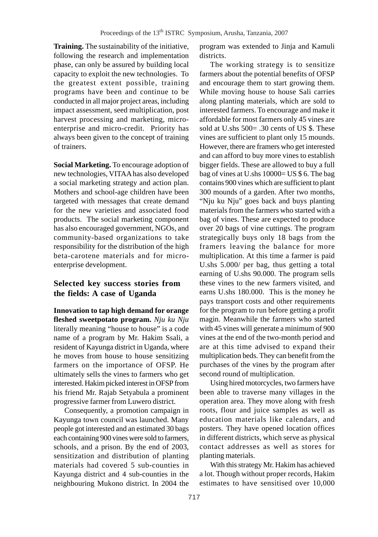**Training.** The sustainability of the initiative, following the research and implementation phase, can only be assured by building local capacity to exploit the new technologies. To the greatest extent possible, training programs have been and continue to be conducted in all major project areas, including impact assessment, seed multiplication, post harvest processing and marketing, microenterprise and micro-credit. Priority has always been given to the concept of training of trainers.

**Social Marketing.** To encourage adoption of new technologies, VITAA has also developed a social marketing strategy and action plan. Mothers and school-age children have been targeted with messages that create demand for the new varieties and associated food products. The social marketing component has also encouraged government, NGOs, and community-based organizations to take responsibility for the distribution of the high beta-carotene materials and for microenterprise development.

## **Selected key success stories from the fields: A case of Uganda**

**Innovation to tap high demand for orange fleshed sweetpotato program.** *Nju ku Nju* literally meaning "house to house" is a code name of a program by Mr. Hakim Ssali, a resident of Kayunga district in Uganda, where he moves from house to house sensitizing farmers on the importance of OFSP. He ultimately sells the vines to farmers who get interested. Hakim picked interest in OFSP from his friend Mr. Rajab Setyabula a prominent progressive farmer from Luwero district.

Consequently, a promotion campaign in Kayunga town council was launched. Many people got interested and an estimated 30 bags each containing 900 vines were sold to farmers, schools, and a prison. By the end of 2003, sensitization and distribution of planting materials had covered 5 sub-counties in Kayunga district and 4 sub-counties in the neighbouring Mukono district. In 2004 the program was extended to Jinja and Kamuli districts.

The working strategy is to sensitize farmers about the potential benefits of OFSP and encourage them to start growing them. While moving house to house Sali carries along planting materials, which are sold to interested farmers. To encourage and make it affordable for most farmers only 45 vines are sold at U.shs  $500 = .30$  cents of US \$. These vines are sufficient to plant only 15 mounds. However, there are framers who get interested and can afford to buy more vines to establish bigger fields. These are allowed to buy a full bag of vines at U.shs 10000= US \$ 6. The bag contains 900 vines which are sufficient to plant 300 mounds of a garden. After two months, "Nju ku Nju" goes back and buys planting materials from the farmers who started with a bag of vines. These are expected to produce over 20 bags of vine cuttings. The program strategically buys only 18 bags from the framers leaving the balance for more multiplication. At this time a farmer is paid U.shs 5.000/ per bag, thus getting a total earning of U.shs 90.000. The program sells these vines to the new farmers visited, and earns U.shs 180.000. This is the money he pays transport costs and other requirements for the program to run before getting a profit magin. Meanwhile the farmers who started with 45 vines will generate a minimum of 900 vines at the end of the two-month period and are at this time advised to expand their multiplication beds. They can benefit from the purchases of the vines by the program after second round of multiplication.

Using hired motorcycles, two farmers have been able to traverse many villages in the operation area. They move along with fresh roots, flour and juice samples as well as education materials like calendars, and posters. They have opened location offices in different districts, which serve as physical contact addresses as well as stores for planting materials.

With this strategy Mr. Hakim has achieved a lot. Though without proper records, Hakim estimates to have sensitised over 10,000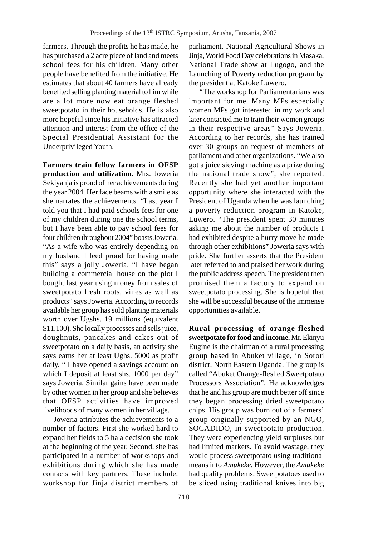farmers. Through the profits he has made, he has purchased a 2 acre piece of land and meets school fees for his children. Many other people have benefited from the initiative. He estimates that about 40 farmers have already benefited selling planting material to him while are a lot more now eat orange fleshed sweetpotato in their households. He is also more hopeful since his initiative has attracted attention and interest from the office of the Special Presidential Assistant for the Underprivileged Youth.

**Farmers train fellow farmers in OFSP production and utilization.** Mrs. Joweria Sekiyanja is proud of her achievements during the year 2004. Her face beams with a smile as she narrates the achievements. "Last year I told you that I had paid schools fees for one of my children during one the school terms, but I have been able to pay school fees for four children throughout 2004" boasts Joweria. "As a wife who was entirely depending on my husband I feed proud for having made this" says a jolly Joweria. "I have began building a commercial house on the plot I bought last year using money from sales of sweetpotato fresh roots, vines as well as products" says Joweria. According to records available her group has sold planting materials worth over Ugshs. 19 millions (equivalent \$11,100). She locally processes and sells juice, doughnuts, pancakes and cakes out of sweetpotato on a daily basis, an activity she says earns her at least Ughs. 5000 as profit daily. " I have opened a savings account on which I deposit at least shs. 1000 per day" says Joweria. Similar gains have been made by other women in her group and she believes that OFSP activities have improved livelihoods of many women in her village.

Joweria attributes the achievements to a number of factors. First she worked hard to expand her fields to 5 ha a decision she took at the beginning of the year. Second, she has participated in a number of workshops and exhibitions during which she has made contacts with key partners. These include: workshop for Jinja district members of parliament. National Agricultural Shows in Jinja, World Food Day celebrations in Masaka, National Trade show at Lugogo, and the Launching of Poverty reduction program by the president at Katoke Luwero.

"The workshop for Parliamentarians was important for me. Many MPs especially women MPs got interested in my work and later contacted me to train their women groups in their respective areas" Says Joweria. According to her records, she has trained over 30 groups on request of members of parliament and other organizations. "We also got a juice sieving machine as a prize during the national trade show", she reported. Recently she had yet another important opportunity where she interacted with the President of Uganda when he was launching a poverty reduction program in Katoke, Luwero. "The president spent 30 minutes asking me about the number of products I had exhibited despite a hurry move he made through other exhibitions" Joweria says with pride. She further asserts that the President later referred to and praised her work during the public address speech. The president then promised them a factory to expand on sweetpotato processing. She is hopeful that she will be successful because of the immense opportunities available.

**Rural processing of orange-fleshed sweetpotato for food and income.** Mr. Ekinyu Eugine is the chairman of a rural processing group based in Abuket village, in Soroti district, North Eastern Uganda. The group is called "Abuket Orange-fleshed Sweetpotato Processors Association". He acknowledges that he and his group are much better off since they began processing dried sweetpotato chips. His group was born out of a farmers' group originally supported by an NGO, SOCADIDO, in sweetpotato production. They were experiencing yield surpluses but had limited markets. To avoid wastage, they would process sweetpotato using traditional means into *Amukeke*. However, the *Amukeke* had quality problems. Sweetpotatoes used to be sliced using traditional knives into big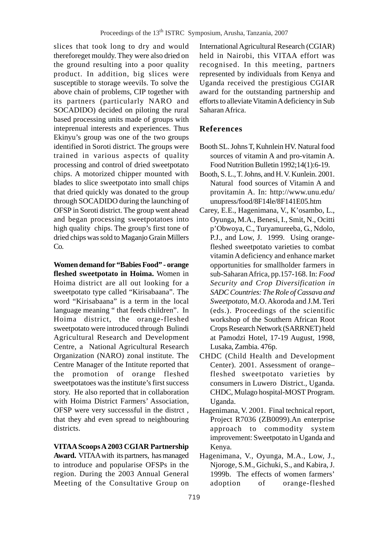slices that took long to dry and would thereforeget mouldy. They were also dried on the ground resulting into a poor quality product. In addition, big slices were susceptible to storage weevils. To solve the above chain of problems, CIP together with its partners (particularly NARO and SOCADIDO) decided on piloting the rural based processing units made of groups with inteprenual interests and experiences. Thus Ekinyu's group was one of the two groups identified in Soroti district. The groups were trained in various aspects of quality processing and control of dried sweetpotato chips. A motorized chipper mounted with blades to slice sweetpotato into small chips that dried quickly was donated to the group through SOCADIDO during the launching of OFSP in Soroti district. The group went ahead and began processing sweetpotatoes into high quality chips. The group's first tone of dried chips was sold to Maganjo Grain Millers Co.

**Women demand for "Babies Food" - orange fleshed sweetpotato in Hoima.** Women in Hoima district are all out looking for a sweetpotato type called "Kirisabaana". The word "Kirisabaana" is a term in the local language meaning " that feeds children". In Hoima district, the orange-fleshed sweetpotato were introduced through Bulindi Agricultural Research and Development Centre, a National Agricultural Research Organization (NARO) zonal institute. The Centre Manager of the Intitute reported that the promotion of orange fleshed sweetpotatoes was the institute's first success story. He also reported that in collaboration with Hoima District Farmers' Association, OFSP were very successsful in the distrct , that they ahd even spread to neighbouring districts.

### **VITAA Scoops A 2003 CGIAR Partnership**

**Award.** VITAA with its partners, has managed to introduce and popularise OFSPs in the region. During the 2003 Annual General Meeting of the Consultative Group on International Agricultural Research (CGIAR) held in Nairobi, this VITAA effort was recognised. In this meeting, partners represented by individuals from Kenya and Uganda received the prestigious CGIAR award for the outstanding partnership and efforts to alleviate Vitamin A deficiency in Sub Saharan Africa.

## **References**

- Booth SL. Johns T, Kuhnlein HV. Natural food sources of vitamin A and pro-vitamin A. Food Nutrition Bulletin 1992;14(1):6-19.
- Booth, S. L., T. Johns, and H. V. Kunlein. 2001. Natural food sources of Vitamin A and provitamin A. In: http://www.unu.edu/ unupress/food/8F14le/8F141E05.htm
- Carey, E.E., Hagenimana, V., K'osambo, L., Oyunga, M.A., Benesi, I., Smit, N., Ocitti p'Obwoya, C., Turyamureeba, G., Ndolo, P.J., and Low, J. 1999. Using orangefleshed sweetpotato varieties to combat vitamin A deficiency and enhance market opportunities for smallholder farmers in sub-Saharan Africa, pp.157-168. In: *Food Security and Crop Diversification in SADC Countries: The Role of Cassava and Sweetpotato,* M.O. Akoroda and J.M. Teri (eds.). Proceedings of the scientific workshop of the Southern African Root Crops Research Network (SARRNET) held at Pamodzi Hotel, 17-19 August, 1998, Lusaka, Zambia. 476p.
- CHDC (Child Health and Development Center). 2001. Assessment of orange– fleshed sweetpotato varieties by consumers in Luwero District., Uganda. CHDC, Mulago hospital-MOST Program. Uganda.
- Hagenimana, V. 2001. Final technical report, Project R7036 (ZB0099).An enterprise approach to commodity system improvement: Sweetpotato in Uganda and Kenya.
- Hagenimana, V., Oyunga, M.A., Low, J., Njoroge, S.M., Gichuki, S., and Kabira, J. 1999b. The effects of women farmers' adoption of orange-fleshed